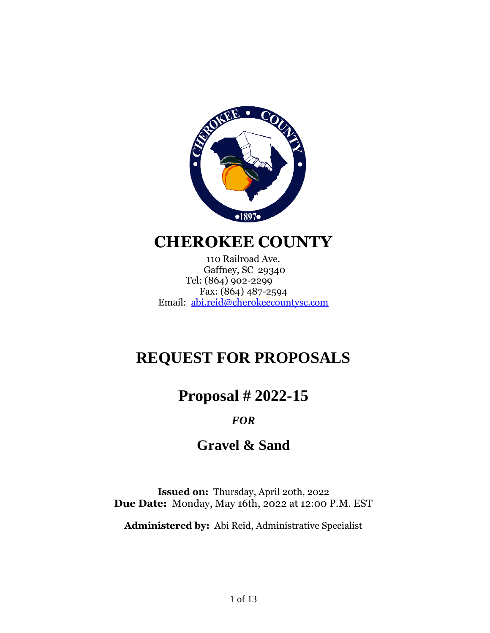

# **CHEROKEE COUNTY**

110 Railroad Ave. Gaffney, SC 29340 Tel: (864) 902-2299 Fax: (864) 487-2594 Email: [abi.reid@cherokeecountysc.com](mailto:abi.reid@cherokeecountysc.com)

# **REQUEST FOR PROPOSALS**

**Proposal # 2022-15**

## *FOR*

# **Gravel & Sand**

**Issued on:** Thursday, April 20th, 2022 **Due Date:** Monday, May 16th, 2022 at 12:00 P.M. EST

**Administered by:** Abi Reid, Administrative Specialist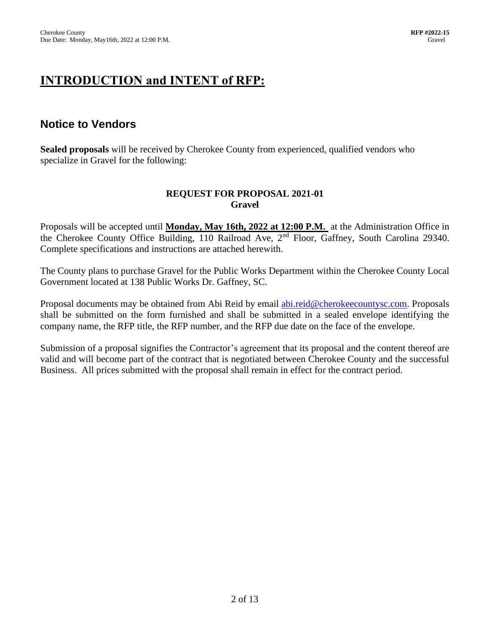# **INTRODUCTION and INTENT of RFP:**

## **Notice to Vendors**

**Sealed proposals** will be received by Cherokee County from experienced, qualified vendors who specialize in Gravel for the following:

### **REQUEST FOR PROPOSAL 2021-01 Gravel**

Proposals will be accepted until **Monday, May 16th, 2022 at 12:00 P.M.** at the Administration Office in the Cherokee County Office Building, 110 Railroad Ave, 2<sup>nd</sup> Floor, Gaffney, South Carolina 29340. Complete specifications and instructions are attached herewith.

The County plans to purchase Gravel for the Public Works Department within the Cherokee County Local Government located at 138 Public Works Dr. Gaffney, SC.

Proposal documents may be obtained from Abi Reid by email [abi.reid@cherokeecountysc.com.](mailto:abi.reid@cherokeecountysc.com) Proposals shall be submitted on the form furnished and shall be submitted in a sealed envelope identifying the company name, the RFP title, the RFP number, and the RFP due date on the face of the envelope.

Submission of a proposal signifies the Contractor's agreement that its proposal and the content thereof are valid and will become part of the contract that is negotiated between Cherokee County and the successful Business. All prices submitted with the proposal shall remain in effect for the contract period.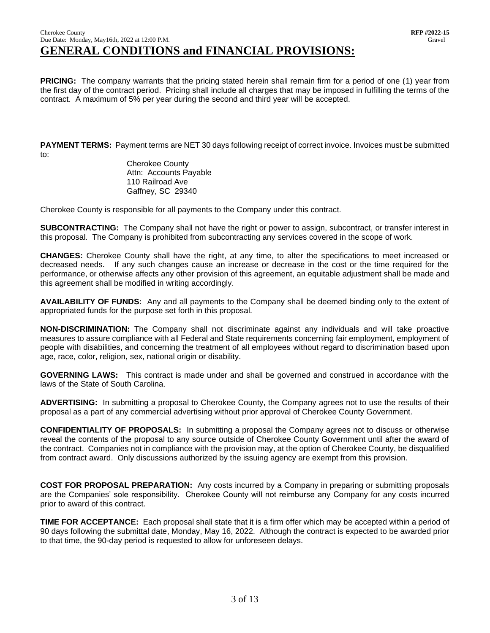#### Cherokee County **RFP #2022-15** Due Date: Monday, May16th, 2022 at 12:00 P.M. Gravel **GENERAL CONDITIONS and FINANCIAL PROVISIONS:**

**PRICING:** The company warrants that the pricing stated herein shall remain firm for a period of one (1) year from the first day of the contract period. Pricing shall include all charges that may be imposed in fulfilling the terms of the contract. A maximum of 5% per year during the second and third year will be accepted.

**PAYMENT TERMS:** Payment terms are NET 30 days following receipt of correct invoice. Invoices must be submitted to:

> Cherokee County Attn: Accounts Payable 110 Railroad Ave Gaffney, SC 29340

Cherokee County is responsible for all payments to the Company under this contract.

**SUBCONTRACTING:** The Company shall not have the right or power to assign, subcontract, or transfer interest in this proposal. The Company is prohibited from subcontracting any services covered in the scope of work.

**CHANGES:** Cherokee County shall have the right, at any time, to alter the specifications to meet increased or decreased needs. If any such changes cause an increase or decrease in the cost or the time required for the performance, or otherwise affects any other provision of this agreement, an equitable adjustment shall be made and this agreement shall be modified in writing accordingly.

**AVAILABILITY OF FUNDS:** Any and all payments to the Company shall be deemed binding only to the extent of appropriated funds for the purpose set forth in this proposal.

**NON-DISCRIMINATION:** The Company shall not discriminate against any individuals and will take proactive measures to assure compliance with all Federal and State requirements concerning fair employment, employment of people with disabilities, and concerning the treatment of all employees without regard to discrimination based upon age, race, color, religion, sex, national origin or disability.

**GOVERNING LAWS:** This contract is made under and shall be governed and construed in accordance with the laws of the State of South Carolina.

**ADVERTISING:** In submitting a proposal to Cherokee County, the Company agrees not to use the results of their proposal as a part of any commercial advertising without prior approval of Cherokee County Government.

**CONFIDENTIALITY OF PROPOSALS:** In submitting a proposal the Company agrees not to discuss or otherwise reveal the contents of the proposal to any source outside of Cherokee County Government until after the award of the contract. Companies not in compliance with the provision may, at the option of Cherokee County, be disqualified from contract award. Only discussions authorized by the issuing agency are exempt from this provision.

**COST FOR PROPOSAL PREPARATION:** Any costs incurred by a Company in preparing or submitting proposals are the Companies' sole responsibility. Cherokee County will not reimburse any Company for any costs incurred prior to award of this contract.

**TIME FOR ACCEPTANCE:** Each proposal shall state that it is a firm offer which may be accepted within a period of 90 days following the submittal date, Monday, May 16, 2022. Although the contract is expected to be awarded prior to that time, the 90-day period is requested to allow for unforeseen delays.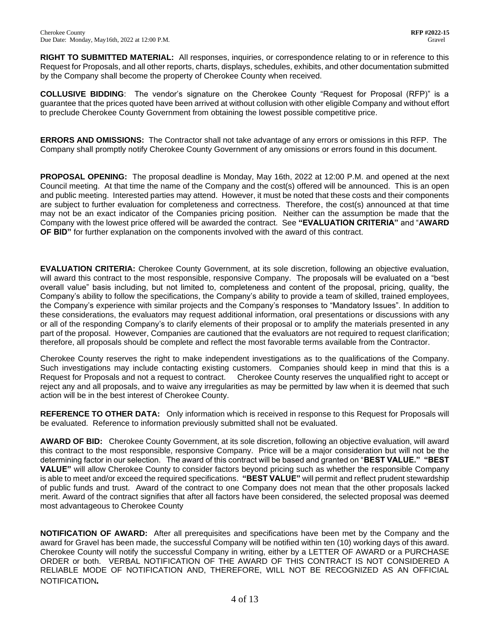**RIGHT TO SUBMITTED MATERIAL:** All responses, inquiries, or correspondence relating to or in reference to this Request for Proposals, and all other reports, charts, displays, schedules, exhibits, and other documentation submitted by the Company shall become the property of Cherokee County when received.

**COLLUSIVE BIDDING**: The vendor's signature on the Cherokee County "Request for Proposal (RFP)" is a guarantee that the prices quoted have been arrived at without collusion with other eligible Company and without effort to preclude Cherokee County Government from obtaining the lowest possible competitive price.

**ERRORS AND OMISSIONS:** The Contractor shall not take advantage of any errors or omissions in this RFP. The Company shall promptly notify Cherokee County Government of any omissions or errors found in this document.

**PROPOSAL OPENING:** The proposal deadline is Monday, May 16th, 2022 at 12:00 P.M. and opened at the next Council meeting. At that time the name of the Company and the cost(s) offered will be announced. This is an open and public meeting. Interested parties may attend. However, it must be noted that these costs and their components are subject to further evaluation for completeness and correctness. Therefore, the cost(s) announced at that time may not be an exact indicator of the Companies pricing position. Neither can the assumption be made that the Company with the lowest price offered will be awarded the contract. See **"EVALUATION CRITERIA"** and "**AWARD OF BID"** for further explanation on the components involved with the award of this contract.

**EVALUATION CRITERIA:** Cherokee County Government, at its sole discretion, following an objective evaluation, will award this contract to the most responsible, responsive Company. The proposals will be evaluated on a "best overall value" basis including, but not limited to, completeness and content of the proposal, pricing, quality, the Company's ability to follow the specifications, the Company's ability to provide a team of skilled, trained employees, the Company's experience with similar projects and the Company's responses to "Mandatory Issues". In addition to these considerations, the evaluators may request additional information, oral presentations or discussions with any or all of the responding Company's to clarify elements of their proposal or to amplify the materials presented in any part of the proposal. However, Companies are cautioned that the evaluators are not required to request clarification; therefore, all proposals should be complete and reflect the most favorable terms available from the Contractor.

Cherokee County reserves the right to make independent investigations as to the qualifications of the Company. Such investigations may include contacting existing customers. Companies should keep in mind that this is a Request for Proposals and not a request to contract. Cherokee County reserves the unqualified right to accept or reject any and all proposals, and to waive any irregularities as may be permitted by law when it is deemed that such action will be in the best interest of Cherokee County.

**REFERENCE TO OTHER DATA:** Only information which is received in response to this Request for Proposals will be evaluated. Reference to information previously submitted shall not be evaluated.

**AWARD OF BID:** Cherokee County Government, at its sole discretion, following an objective evaluation, will award this contract to the most responsible, responsive Company. Price will be a major consideration but will not be the determining factor in our selection. The award of this contract will be based and granted on "**BEST VALUE." "BEST VALUE"** will allow Cherokee County to consider factors beyond pricing such as whether the responsible Company is able to meet and/or exceed the required specifications. **"BEST VALUE"** will permit and reflect prudent stewardship of public funds and trust. Award of the contract to one Company does not mean that the other proposals lacked merit. Award of the contract signifies that after all factors have been considered, the selected proposal was deemed most advantageous to Cherokee County

**NOTIFICATION OF AWARD:** After all prerequisites and specifications have been met by the Company and the award for Gravel has been made, the successful Company will be notified within ten (10) working days of this award. Cherokee County will notify the successful Company in writing, either by a LETTER OF AWARD or a PURCHASE ORDER or both. VERBAL NOTIFICATION OF THE AWARD OF THIS CONTRACT IS NOT CONSIDERED A RELIABLE MODE OF NOTIFICATION AND, THEREFORE, WILL NOT BE RECOGNIZED AS AN OFFICIAL NOTIFICATION*.*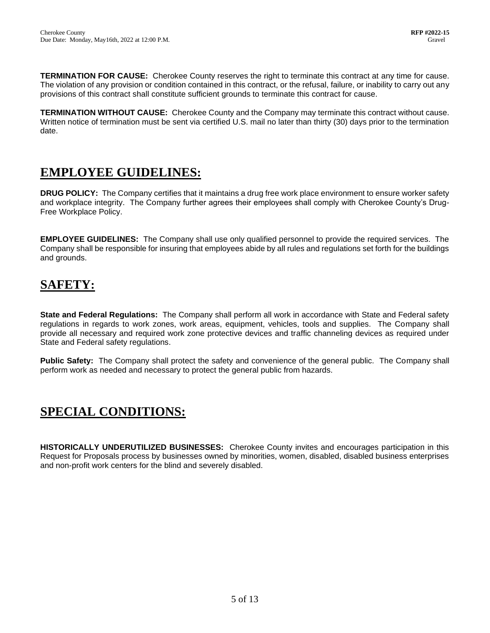**TERMINATION FOR CAUSE:** Cherokee County reserves the right to terminate this contract at any time for cause. The violation of any provision or condition contained in this contract, or the refusal, failure, or inability to carry out any provisions of this contract shall constitute sufficient grounds to terminate this contract for cause.

**TERMINATION WITHOUT CAUSE:** Cherokee County and the Company may terminate this contract without cause. Written notice of termination must be sent via certified U.S. mail no later than thirty (30) days prior to the termination date.

## **EMPLOYEE GUIDELINES:**

**DRUG POLICY:** The Company certifies that it maintains a drug free work place environment to ensure worker safety and workplace integrity. The Company further agrees their employees shall comply with Cherokee County's Drug-Free Workplace Policy.

**EMPLOYEE GUIDELINES:** The Company shall use only qualified personnel to provide the required services. The Company shall be responsible for insuring that employees abide by all rules and regulations set forth for the buildings and grounds.

# **SAFETY:**

**State and Federal Regulations:** The Company shall perform all work in accordance with State and Federal safety regulations in regards to work zones, work areas, equipment, vehicles, tools and supplies. The Company shall provide all necessary and required work zone protective devices and traffic channeling devices as required under State and Federal safety regulations.

**Public Safety:** The Company shall protect the safety and convenience of the general public. The Company shall perform work as needed and necessary to protect the general public from hazards.

# **SPECIAL CONDITIONS:**

**HISTORICALLY UNDERUTILIZED BUSINESSES:** Cherokee County invites and encourages participation in this Request for Proposals process by businesses owned by minorities, women, disabled, disabled business enterprises and non-profit work centers for the blind and severely disabled.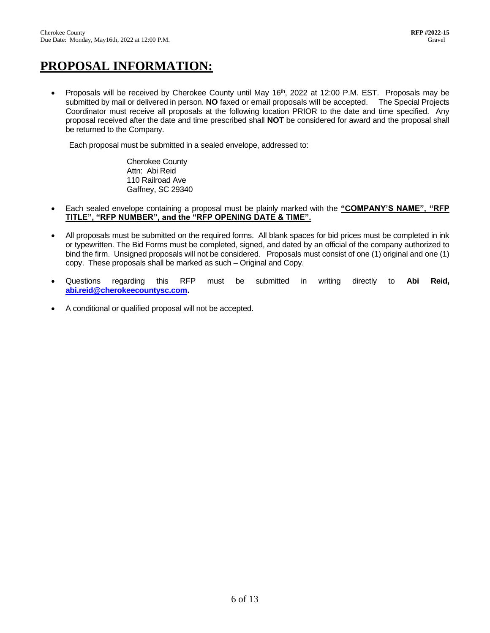# **PROPOSAL INFORMATION:**

• Proposals will be received by Cherokee County until May 16<sup>th</sup>, 2022 at 12:00 P.M. EST. Proposals may be submitted by mail or delivered in person. **NO** faxed or email proposals will be accepted. The Special Projects Coordinator must receive all proposals at the following location PRIOR to the date and time specified. Any proposal received after the date and time prescribed shall **NOT** be considered for award and the proposal shall be returned to the Company.

Each proposal must be submitted in a sealed envelope, addressed to:

Cherokee County Attn: Abi Reid 110 Railroad Ave Gaffney, SC 29340

- Each sealed envelope containing a proposal must be plainly marked with the **"COMPANY'S NAME", "RFP TITLE", "RFP NUMBER", and the "RFP OPENING DATE & TIME".**
- All proposals must be submitted on the required forms. All blank spaces for bid prices must be completed in ink or typewritten. The Bid Forms must be completed, signed, and dated by an official of the company authorized to bind the firm. Unsigned proposals will not be considered. Proposals must consist of one (1) original and one (1) copy. These proposals shall be marked as such – Original and Copy.
- Questions regarding this RFP must be submitted in writing directly to **Abi Reid, [abi.reid@cherokeecountysc.com.](mailto:abi.reid@cherokeecountysc.com)**
- A conditional or qualified proposal will not be accepted.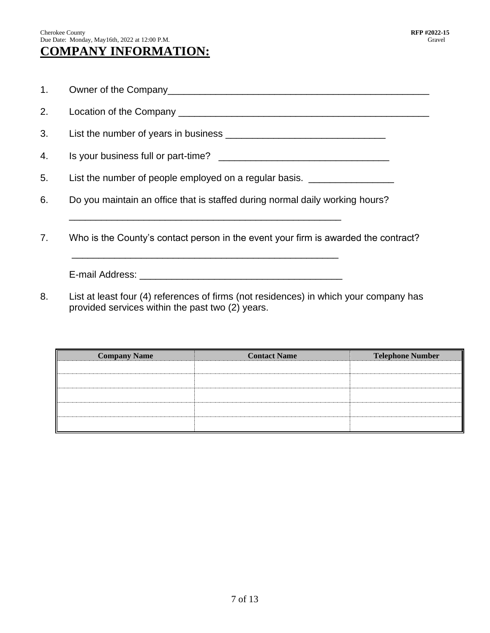## Cherokee County **RFP #2022-15** Due Date: Monday, May16th, 2022 at 12:00 P.M. Gravel

- 1. Owner of the Company
- 2. Location of the Company \_\_\_\_\_\_\_\_\_\_\_\_\_\_\_\_\_\_\_\_\_\_\_\_\_\_\_\_\_\_\_\_\_\_\_\_\_\_\_\_\_\_\_\_\_\_\_
- 3. List the number of years in business \_\_\_\_\_\_\_\_\_\_\_\_\_\_\_\_\_\_\_\_\_\_\_\_\_\_\_\_\_\_
- 4. Is your business full or part-time? \_\_\_\_\_\_\_\_\_\_\_\_\_\_\_\_\_\_\_\_\_\_\_\_\_\_\_\_\_\_\_\_
- 5. List the number of people employed on a regular basis.
- 6. Do you maintain an office that is staffed during normal daily working hours?

\_\_\_\_\_\_\_\_\_\_\_\_\_\_\_\_\_\_\_\_\_\_\_\_\_\_\_\_\_\_\_\_\_\_\_\_\_\_\_\_\_\_\_\_\_\_\_\_\_\_\_

\_\_\_\_\_\_\_\_\_\_\_\_\_\_\_\_\_\_\_\_\_\_\_\_\_\_\_\_\_\_\_\_\_\_\_\_\_\_\_\_\_\_\_\_\_\_\_\_\_\_

7. Who is the County's contact person in the event your firm is awarded the contract?

E-mail Address: **E-mail Address:** 

8. List at least four (4) references of firms (not residences) in which your company has provided services within the past two (2) years.

| <b>Company Name</b> | <b>Contact Name</b> | <b>Telephone Number</b> |  |
|---------------------|---------------------|-------------------------|--|
|                     |                     |                         |  |
|                     |                     |                         |  |
|                     |                     |                         |  |
|                     |                     |                         |  |
|                     |                     |                         |  |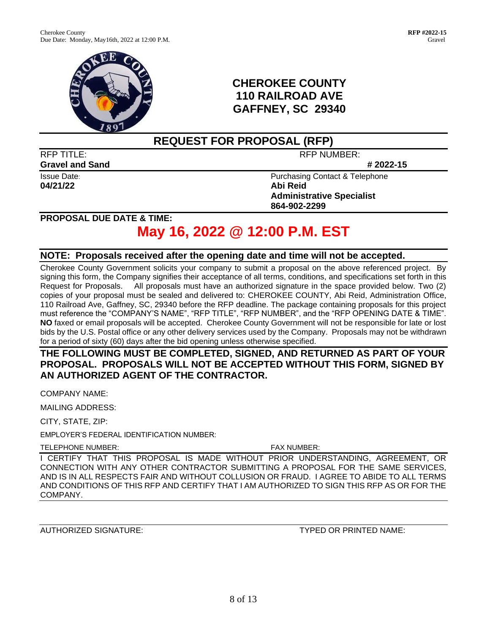

## **CHEROKEE COUNTY 110 RAILROAD AVE GAFFNEY, SC 29340**

## **REQUEST FOR PROPOSAL (RFP)**

**Gravel** and Sand **# 2022-15** 

**04/21/22 Abi Reid**

RFP TITLE: RFP NUMBER:

Issue Date: **Purchasing Contact & Telephone Administrative Specialist 864-902-2299**

**PROPOSAL DUE DATE & TIME:**

# **May 16, 2022 @ 12:00 P.M. EST**

### **NOTE: Proposals received after the opening date and time will not be accepted.**

Cherokee County Government solicits your company to submit a proposal on the above referenced project. By signing this form, the Company signifies their acceptance of all terms, conditions, and specifications set forth in this Request for Proposals. All proposals must have an authorized signature in the space provided below. Two (2) copies of your proposal must be sealed and delivered to: CHEROKEE COUNTY, Abi Reid, Administration Office, 110 Railroad Ave, Gaffney, SC, 29340 before the RFP deadline. The package containing proposals for this project must reference the "COMPANY'S NAME", "RFP TITLE", "RFP NUMBER", and the "RFP OPENING DATE & TIME". **NO** faxed or email proposals will be accepted. Cherokee County Government will not be responsible for late or lost bids by the U.S. Postal office or any other delivery services used by the Company. Proposals may not be withdrawn for a period of sixty (60) days after the bid opening unless otherwise specified.

**THE FOLLOWING MUST BE COMPLETED, SIGNED, AND RETURNED AS PART OF YOUR PROPOSAL. PROPOSALS WILL NOT BE ACCEPTED WITHOUT THIS FORM, SIGNED BY AN AUTHORIZED AGENT OF THE CONTRACTOR.**

COMPANY NAME:

MAILING ADDRESS:

CITY, STATE, ZIP:

EMPLOYER'S FEDERAL IDENTIFICATION NUMBER:

TELEPHONE NUMBER: FAX NUMBER:

I CERTIFY THAT THIS PROPOSAL IS MADE WITHOUT PRIOR UNDERSTANDING, AGREEMENT, OR CONNECTION WITH ANY OTHER CONTRACTOR SUBMITTING A PROPOSAL FOR THE SAME SERVICES, AND IS IN ALL RESPECTS FAIR AND WITHOUT COLLUSION OR FRAUD. I AGREE TO ABIDE TO ALL TERMS AND CONDITIONS OF THIS RFP AND CERTIFY THAT I AM AUTHORIZED TO SIGN THIS RFP AS OR FOR THE COMPANY.

AUTHORIZED SIGNATURE: TYPED OR PRINTED NAME: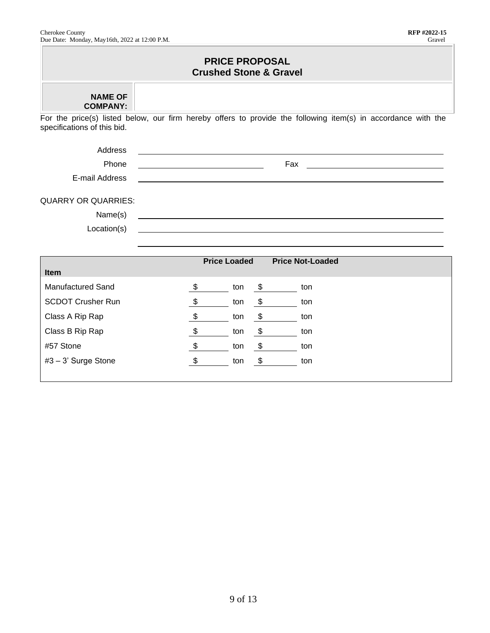F

- 1

| <b>PRICE PROPOSAL</b><br><b>Crushed Stone &amp; Gravel</b> |                                                                                                                                                             |  |  |  |  |  |
|------------------------------------------------------------|-------------------------------------------------------------------------------------------------------------------------------------------------------------|--|--|--|--|--|
| <b>NAME OF</b><br><b>COMPANY:</b>                          |                                                                                                                                                             |  |  |  |  |  |
| specifications of this bid.                                | For the price(s) listed below, our firm hereby offers to provide the following item(s) in accordance with the                                               |  |  |  |  |  |
| Address                                                    |                                                                                                                                                             |  |  |  |  |  |
| Phone                                                      | Fax<br>the contract of the contract of the contract of the contract of the contract of the contract of<br><u> 1989 - Johann Barn, mars eta bainar eta i</u> |  |  |  |  |  |
| E-mail Address                                             |                                                                                                                                                             |  |  |  |  |  |
| <b>QUARRY OR QUARRIES:</b>                                 |                                                                                                                                                             |  |  |  |  |  |
| Name(s)                                                    |                                                                                                                                                             |  |  |  |  |  |
| Location(s)                                                |                                                                                                                                                             |  |  |  |  |  |
|                                                            |                                                                                                                                                             |  |  |  |  |  |
| <b>Item</b>                                                | <b>Price Loaded</b><br><b>Price Not-Loaded</b>                                                                                                              |  |  |  |  |  |
| <b>Manufactured Sand</b>                                   | \$<br>\$<br>ton<br>ton                                                                                                                                      |  |  |  |  |  |
| <b>SCDOT Crusher Run</b>                                   | \$<br>\$<br>ton<br>ton                                                                                                                                      |  |  |  |  |  |
| Class A Rip Rap                                            | $\boldsymbol{\mathsf{\$}}$<br>$\boldsymbol{\mathsf{S}}$<br>ton<br>ton                                                                                       |  |  |  |  |  |
| Class B Rip Rap                                            | $\sqrt[6]{3}$<br>\$<br>ton<br>ton                                                                                                                           |  |  |  |  |  |
| #57 Stone                                                  | $\boldsymbol{\theta}$<br>\$<br>ton<br>ton                                                                                                                   |  |  |  |  |  |
| #3 - 3' Surge Stone                                        | $\boldsymbol{\mathsf{S}}$<br>$\sqrt[6]{\frac{1}{2}}$<br>ton<br>ton                                                                                          |  |  |  |  |  |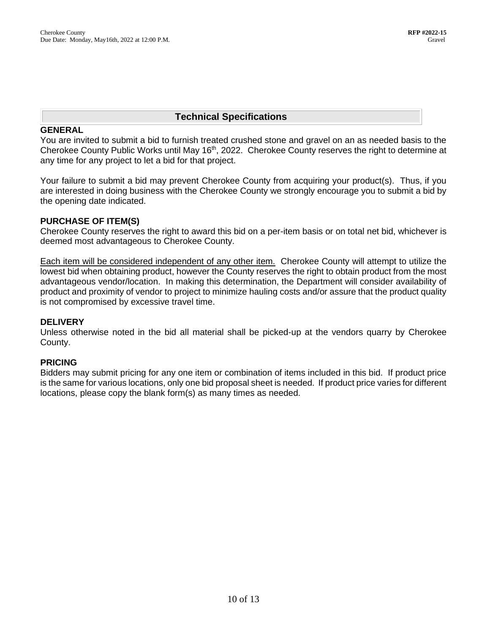## **Technical Specifications**

#### **GENERAL**

You are invited to submit a bid to furnish treated crushed stone and gravel on an as needed basis to the Cherokee County Public Works until May 16<sup>th</sup>, 2022. Cherokee County reserves the right to determine at any time for any project to let a bid for that project.

Your failure to submit a bid may prevent Cherokee County from acquiring your product(s). Thus, if you are interested in doing business with the Cherokee County we strongly encourage you to submit a bid by the opening date indicated.

### **PURCHASE OF ITEM(S)**

Cherokee County reserves the right to award this bid on a per-item basis or on total net bid, whichever is deemed most advantageous to Cherokee County.

Each item will be considered independent of any other item. Cherokee County will attempt to utilize the lowest bid when obtaining product, however the County reserves the right to obtain product from the most advantageous vendor/location. In making this determination, the Department will consider availability of product and proximity of vendor to project to minimize hauling costs and/or assure that the product quality is not compromised by excessive travel time.

### **DELIVERY**

Unless otherwise noted in the bid all material shall be picked-up at the vendors quarry by Cherokee County.

### **PRICING**

Bidders may submit pricing for any one item or combination of items included in this bid. If product price is the same for various locations, only one bid proposal sheet is needed. If product price varies for different locations, please copy the blank form(s) as many times as needed.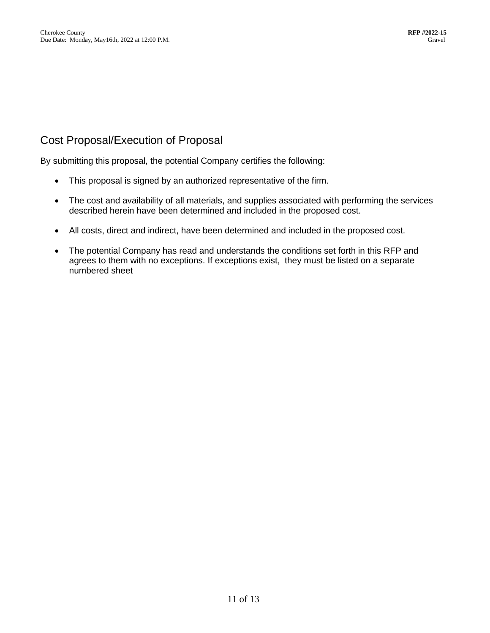## Cost Proposal/Execution of Proposal

By submitting this proposal, the potential Company certifies the following:

- This proposal is signed by an authorized representative of the firm.
- The cost and availability of all materials, and supplies associated with performing the services described herein have been determined and included in the proposed cost.
- All costs, direct and indirect, have been determined and included in the proposed cost.
- The potential Company has read and understands the conditions set forth in this RFP and agrees to them with no exceptions. If exceptions exist, they must be listed on a separate numbered sheet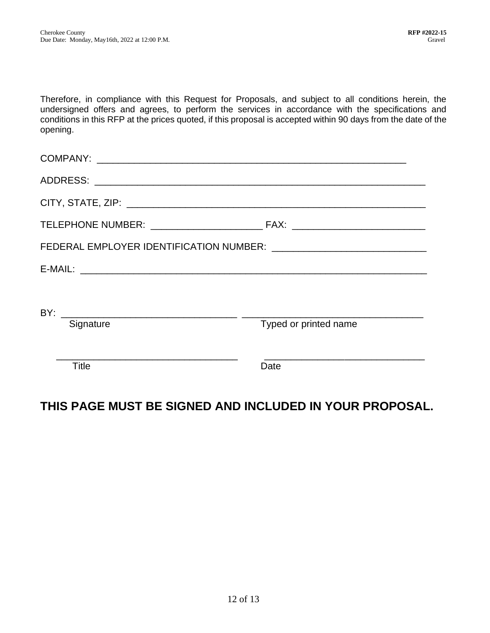Therefore, in compliance with this Request for Proposals, and subject to all conditions herein, the undersigned offers and agrees, to perform the services in accordance with the specifications and conditions in this RFP at the prices quoted, if this proposal is accepted within 90 days from the date of the opening.

| Signature    | Typed or printed name |  |  |  |
|--------------|-----------------------|--|--|--|
|              |                       |  |  |  |
| <b>Title</b> | Date                  |  |  |  |
|              |                       |  |  |  |

## **THIS PAGE MUST BE SIGNED AND INCLUDED IN YOUR PROPOSAL.**